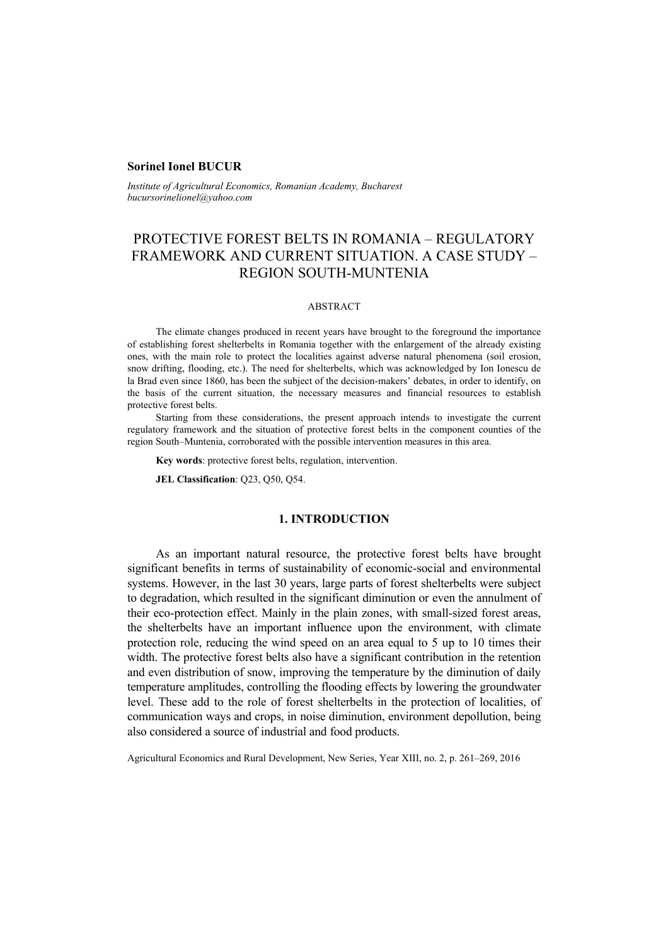#### **Sorinel Ionel BUCUR**

*Institute of Agricultural Economics, Romanian Academy, Bucharest bucursorinelionel@yahoo.com* 

# PROTECTIVE FOREST BELTS IN ROMANIA – REGULATORY FRAMEWORK AND CURRENT SITUATION. A CASE STUDY – REGION SOUTH-MUNTENIA

#### ABSTRACT

The climate changes produced in recent years have brought to the foreground the importance of establishing forest shelterbelts in Romania together with the enlargement of the already existing ones, with the main role to protect the localities against adverse natural phenomena (soil erosion, snow drifting, flooding, etc.). The need for shelterbelts, which was acknowledged by Ion Ionescu de la Brad even since 1860, has been the subject of the decision-makers' debates, in order to identify, on the basis of the current situation, the necessary measures and financial resources to establish protective forest belts.

Starting from these considerations, the present approach intends to investigate the current regulatory framework and the situation of protective forest belts in the component counties of the region South–Muntenia, corroborated with the possible intervention measures in this area.

**Key words**: protective forest belts, regulation, intervention.

**JEL Classification**: Q23, Q50, Q54.

### **1. INTRODUCTION**

As an important natural resource, the protective forest belts have brought significant benefits in terms of sustainability of economic-social and environmental systems. However, in the last 30 years, large parts of forest shelterbelts were subject to degradation, which resulted in the significant diminution or even the annulment of their eco-protection effect. Mainly in the plain zones, with small-sized forest areas, the shelterbelts have an important influence upon the environment, with climate protection role, reducing the wind speed on an area equal to 5 up to 10 times their width. The protective forest belts also have a significant contribution in the retention and even distribution of snow, improving the temperature by the diminution of daily temperature amplitudes, controlling the flooding effects by lowering the groundwater level. These add to the role of forest shelterbelts in the protection of localities, of communication ways and crops, in noise diminution, environment depollution, being also considered a source of industrial and food products.

Agricultural Economics and Rural Development, New Series, Year XIII, no. 2, p. 261–269, 2016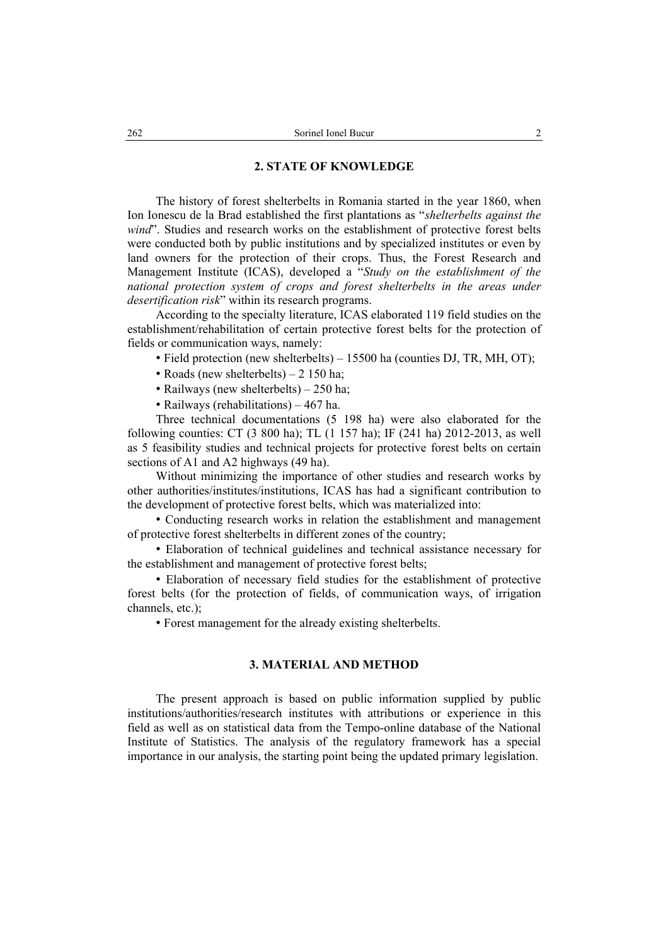#### **2. STATE OF KNOWLEDGE**

The history of forest shelterbelts in Romania started in the year 1860, when Ion Ionescu de la Brad established the first plantations as "*shelterbelts against the wind*". Studies and research works on the establishment of protective forest belts were conducted both by public institutions and by specialized institutes or even by land owners for the protection of their crops. Thus, the Forest Research and Management Institute (ICAS), developed a "*Study on the establishment of the national protection system of crops and forest shelterbelts in the areas under desertification risk*" within its research programs.

According to the specialty literature, ICAS elaborated 119 field studies on the establishment/rehabilitation of certain protective forest belts for the protection of fields or communication ways, namely:

• Field protection (new shelterbelts) – 15500 ha (counties DJ, TR, MH, OT);

- Roads (new shelterbelts) 2 150 ha;
- Railways (new shelterbelts) 250 ha;
- Railways (rehabilitations) 467 ha.

Three technical documentations (5 198 ha) were also elaborated for the following counties: CT (3 800 ha); TL (1 157 ha); IF (241 ha) 2012-2013, as well as 5 feasibility studies and technical projects for protective forest belts on certain sections of A1 and A2 highways (49 ha).

Without minimizing the importance of other studies and research works by other authorities/institutes/institutions, ICAS has had a significant contribution to the development of protective forest belts, which was materialized into:

• Conducting research works in relation the establishment and management of protective forest shelterbelts in different zones of the country;

• Elaboration of technical guidelines and technical assistance necessary for the establishment and management of protective forest belts;

• Elaboration of necessary field studies for the establishment of protective forest belts (for the protection of fields, of communication ways, of irrigation channels, etc.);

• Forest management for the already existing shelterbelts.

#### **3. MATERIAL AND METHOD**

The present approach is based on public information supplied by public institutions/authorities/research institutes with attributions or experience in this field as well as on statistical data from the Tempo-online database of the National Institute of Statistics. The analysis of the regulatory framework has a special importance in our analysis, the starting point being the updated primary legislation.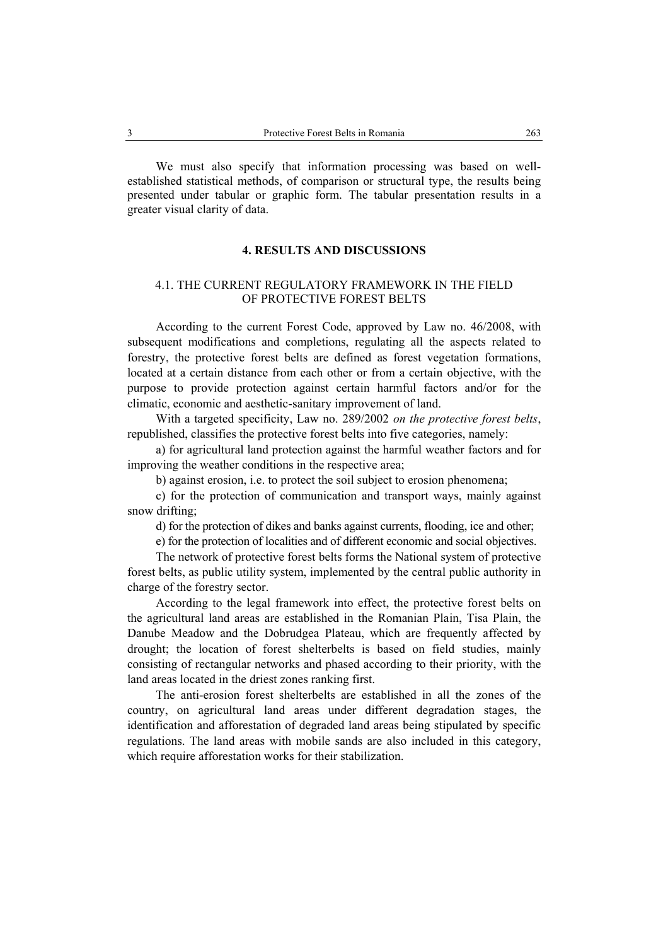We must also specify that information processing was based on wellestablished statistical methods, of comparison or structural type, the results being presented under tabular or graphic form. The tabular presentation results in a greater visual clarity of data.

#### **4. RESULTS AND DISCUSSIONS**

## 4.1. THE CURRENT REGULATORY FRAMEWORK IN THE FIELD OF PROTECTIVE FOREST BELTS

According to the current Forest Code, approved by Law no. 46/2008, with subsequent modifications and completions, regulating all the aspects related to forestry, the protective forest belts are defined as forest vegetation formations, located at a certain distance from each other or from a certain objective, with the purpose to provide protection against certain harmful factors and/or for the climatic, economic and aesthetic-sanitary improvement of land.

With a targeted specificity, Law no. 289/2002 *on the protective forest belts*, republished, classifies the protective forest belts into five categories, namely:

a) for agricultural land protection against the harmful weather factors and for improving the weather conditions in the respective area;

b) against erosion, i.e. to protect the soil subject to erosion phenomena;

c) for the protection of communication and transport ways, mainly against snow drifting;

d) for the protection of dikes and banks against currents, flooding, ice and other;

e) for the protection of localities and of different economic and social objectives.

The network of protective forest belts forms the National system of protective forest belts, as public utility system, implemented by the central public authority in charge of the forestry sector.

According to the legal framework into effect, the protective forest belts on the agricultural land areas are established in the Romanian Plain, Tisa Plain, the Danube Meadow and the Dobrudgea Plateau, which are frequently affected by drought; the location of forest shelterbelts is based on field studies, mainly consisting of rectangular networks and phased according to their priority, with the land areas located in the driest zones ranking first.

The anti-erosion forest shelterbelts are established in all the zones of the country, on agricultural land areas under different degradation stages, the identification and afforestation of degraded land areas being stipulated by specific regulations. The land areas with mobile sands are also included in this category, which require afforestation works for their stabilization.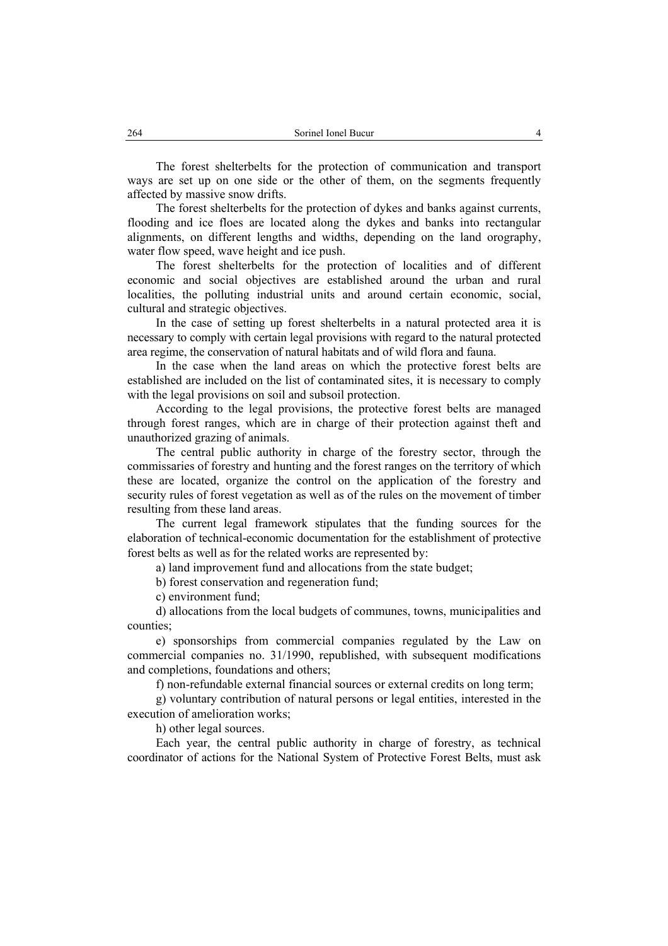The forest shelterbelts for the protection of communication and transport ways are set up on one side or the other of them, on the segments frequently affected by massive snow drifts.

The forest shelterbelts for the protection of dykes and banks against currents, flooding and ice floes are located along the dykes and banks into rectangular alignments, on different lengths and widths, depending on the land orography, water flow speed, wave height and ice push.

The forest shelterbelts for the protection of localities and of different economic and social objectives are established around the urban and rural localities, the polluting industrial units and around certain economic, social, cultural and strategic objectives.

In the case of setting up forest shelterbelts in a natural protected area it is necessary to comply with certain legal provisions with regard to the natural protected area regime, the conservation of natural habitats and of wild flora and fauna.

In the case when the land areas on which the protective forest belts are established are included on the list of contaminated sites, it is necessary to comply with the legal provisions on soil and subsoil protection.

According to the legal provisions, the protective forest belts are managed through forest ranges, which are in charge of their protection against theft and unauthorized grazing of animals.

The central public authority in charge of the forestry sector, through the commissaries of forestry and hunting and the forest ranges on the territory of which these are located, organize the control on the application of the forestry and security rules of forest vegetation as well as of the rules on the movement of timber resulting from these land areas.

The current legal framework stipulates that the funding sources for the elaboration of technical-economic documentation for the establishment of protective forest belts as well as for the related works are represented by:

a) land improvement fund and allocations from the state budget;

b) forest conservation and regeneration fund;

c) environment fund;

d) allocations from the local budgets of communes, towns, municipalities and counties;

e) sponsorships from commercial companies regulated by the Law on commercial companies no. 31/1990, republished, with subsequent modifications and completions, foundations and others;

f) non-refundable external financial sources or external credits on long term;

g) voluntary contribution of natural persons or legal entities, interested in the execution of amelioration works;

h) other legal sources.

Each year, the central public authority in charge of forestry, as technical coordinator of actions for the National System of Protective Forest Belts, must ask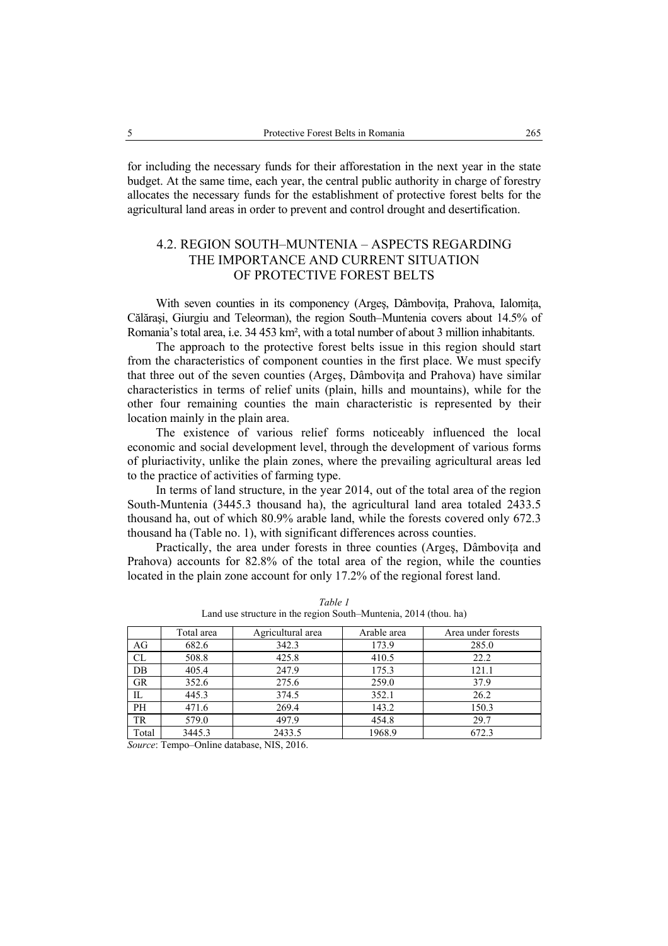for including the necessary funds for their afforestation in the next year in the state budget. At the same time, each year, the central public authority in charge of forestry allocates the necessary funds for the establishment of protective forest belts for the agricultural land areas in order to prevent and control drought and desertification.

## 4.2. REGION SOUTH–MUNTENIA – ASPECTS REGARDING THE IMPORTANCE AND CURRENT SITUATION OF PROTECTIVE FOREST BELTS

With seven counties in its componency (Arges, Dâmbovița, Prahova, Ialomița, Călăraşi, Giurgiu and Teleorman), the region South–Muntenia covers about 14.5% of Romania's total area, i.e. 34 453 km², with a total number of about 3 million inhabitants.

The approach to the protective forest belts issue in this region should start from the characteristics of component counties in the first place. We must specify that three out of the seven counties (Arges, Dâmbovita and Prahova) have similar characteristics in terms of relief units (plain, hills and mountains), while for the other four remaining counties the main characteristic is represented by their location mainly in the plain area.

The existence of various relief forms noticeably influenced the local economic and social development level, through the development of various forms of pluriactivity, unlike the plain zones, where the prevailing agricultural areas led to the practice of activities of farming type.

In terms of land structure, in the year 2014, out of the total area of the region South-Muntenia (3445.3 thousand ha), the agricultural land area totaled 2433.5 thousand ha, out of which 80.9% arable land, while the forests covered only 672.3 thousand ha (Table no. 1), with significant differences across counties.

Practically, the area under forests in three counties (Arges, Dâmbovita and Prahova) accounts for 82.8% of the total area of the region, while the counties located in the plain zone account for only 17.2% of the regional forest land.

|           | Total area | Agricultural area | Arable area | Area under forests |
|-----------|------------|-------------------|-------------|--------------------|
| AG        | 682.6      | 342.3             | 173.9       | 285.0              |
| CL        | 508.8      | 425.8             | 410.5       | 22.2               |
| DB        | 405.4      | 247.9             | 175.3       | 121.1              |
| <b>GR</b> | 352.6      | 275.6             | 259.0       | 37.9               |
| IL        | 445.3      | 374.5             | 352.1       | 26.2               |
| PH        | 471.6      | 269.4             | 143.2       | 150.3              |
| <b>TR</b> | 579.0      | 497.9             | 454.8       | 29.7               |
| Total     | 3445.3     | 2433.5            | 1968.9      | 672.3              |

*Table 1*  Land use structure in the region South–Muntenia, 2014 (thou. ha)

*Source*: Tempo–Online database, NIS, 2016.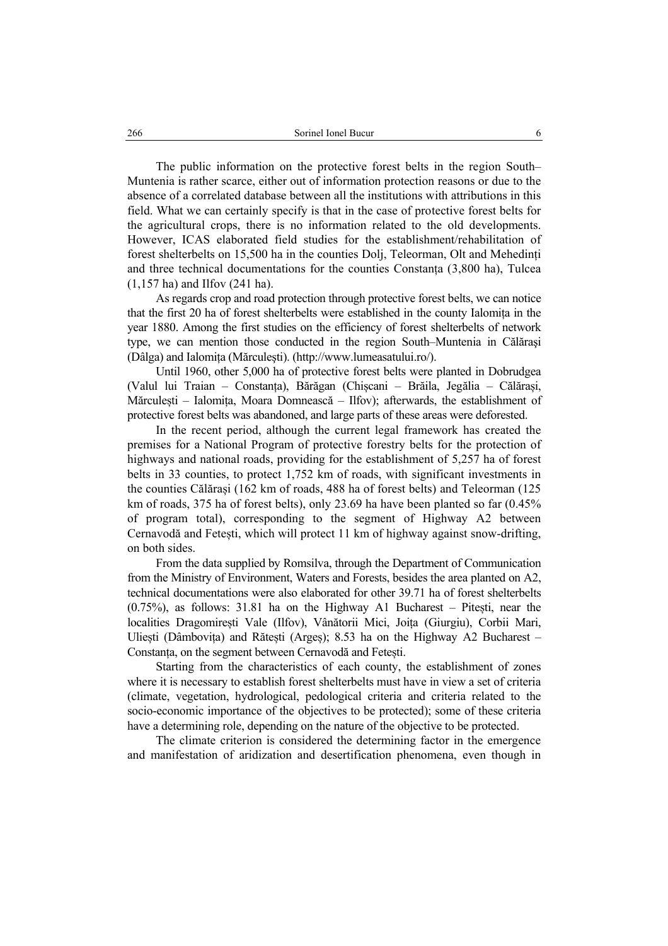The public information on the protective forest belts in the region South– Muntenia is rather scarce, either out of information protection reasons or due to the absence of a correlated database between all the institutions with attributions in this field. What we can certainly specify is that in the case of protective forest belts for the agricultural crops, there is no information related to the old developments. However, ICAS elaborated field studies for the establishment/rehabilitation of forest shelterbelts on 15,500 ha in the counties Dolj, Teleorman, Olt and Mehedinți and three technical documentations for the counties Constanța (3,800 ha), Tulcea (1,157 ha) and Ilfov (241 ha).

As regards crop and road protection through protective forest belts, we can notice that the first 20 ha of forest shelterbelts were established in the county Ialomiţa in the year 1880. Among the first studies on the efficiency of forest shelterbelts of network type, we can mention those conducted in the region South–Muntenia in Călăraşi (Dâlga) and Ialomiţa (Mărculeşti). (http://www.lumeasatului.ro/).

Until 1960, other 5,000 ha of protective forest belts were planted in Dobrudgea (Valul lui Traian – Constanța), Bărăgan (Chișcani – Brăila, Jegălia – Călărași, Mărculești – Ialomița, Moara Domnească – Ilfov); afterwards, the establishment of protective forest belts was abandoned, and large parts of these areas were deforested.

In the recent period, although the current legal framework has created the premises for a National Program of protective forestry belts for the protection of highways and national roads, providing for the establishment of 5,257 ha of forest belts in 33 counties, to protect 1,752 km of roads, with significant investments in the counties Călărași (162 km of roads, 488 ha of forest belts) and Teleorman (125 km of roads, 375 ha of forest belts), only 23.69 ha have been planted so far (0.45% of program total), corresponding to the segment of Highway A2 between Cernavodă and Fetești, which will protect 11 km of highway against snow-drifting, on both sides.

From the data supplied by Romsilva, through the Department of Communication from the Ministry of Environment, Waters and Forests, besides the area planted on A2, technical documentations were also elaborated for other 39.71 ha of forest shelterbelts (0.75%), as follows: 31.81 ha on the Highway A1 Bucharest – Pitești, near the localities Dragomirești Vale (Ilfov), Vânătorii Mici, Joița (Giurgiu), Corbii Mari, Uliești (Dâmbovița) and Rătești (Argeș); 8.53 ha on the Highway A2 Bucharest – Constanța, on the segment between Cernavodă and Fetești.

Starting from the characteristics of each county, the establishment of zones where it is necessary to establish forest shelterbelts must have in view a set of criteria (climate, vegetation, hydrological, pedological criteria and criteria related to the socio-economic importance of the objectives to be protected); some of these criteria have a determining role, depending on the nature of the objective to be protected.

The climate criterion is considered the determining factor in the emergence and manifestation of aridization and desertification phenomena, even though in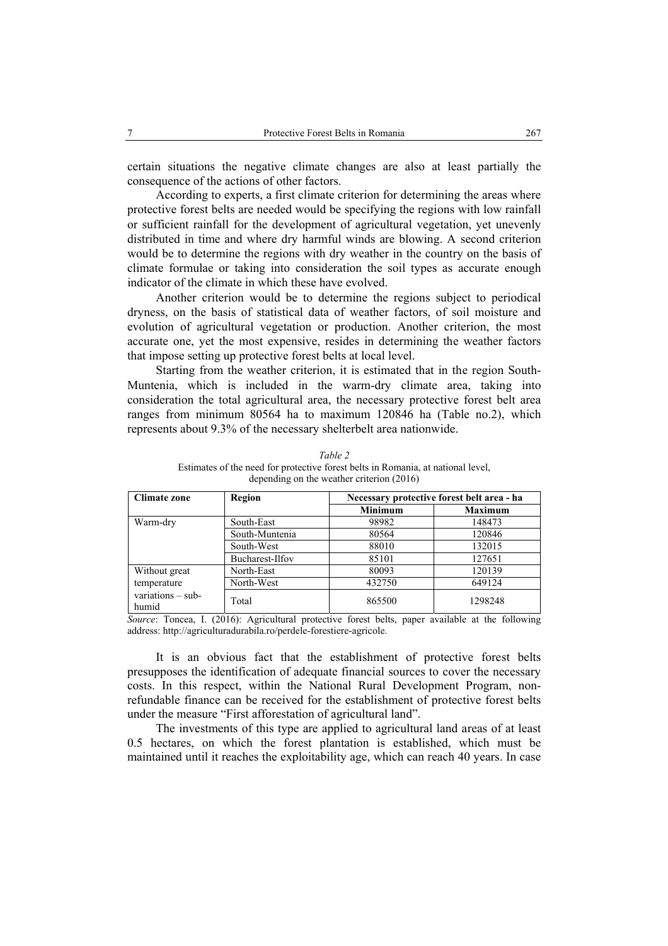certain situations the negative climate changes are also at least partially the consequence of the actions of other factors.

According to experts, a first climate criterion for determining the areas where protective forest belts are needed would be specifying the regions with low rainfall or sufficient rainfall for the development of agricultural vegetation, yet unevenly distributed in time and where dry harmful winds are blowing. A second criterion would be to determine the regions with dry weather in the country on the basis of climate formulae or taking into consideration the soil types as accurate enough indicator of the climate in which these have evolved.

Another criterion would be to determine the regions subject to periodical dryness, on the basis of statistical data of weather factors, of soil moisture and evolution of agricultural vegetation or production. Another criterion, the most accurate one, yet the most expensive, resides in determining the weather factors that impose setting up protective forest belts at local level.

Starting from the weather criterion, it is estimated that in the region South-Muntenia, which is included in the warm-dry climate area, taking into consideration the total agricultural area, the necessary protective forest belt area ranges from minimum 80564 ha to maximum 120846 ha (Table no.2), which represents about 9.3% of the necessary shelterbelt area nationwide.

| <b>Climate zone</b>          | Region          | Necessary protective forest belt area - ha |                |
|------------------------------|-----------------|--------------------------------------------|----------------|
|                              |                 | <b>Minimum</b>                             | <b>Maximum</b> |
| Warm-dry                     | South-East      | 98982                                      | 148473         |
|                              | South-Muntenia  | 80564                                      | 120846         |
|                              | South-West      | 88010                                      | 132015         |
|                              | Bucharest-Ilfov | 85101                                      | 127651         |
| Without great                | North-East      | 80093                                      | 120139         |
| temperature                  | North-West      | 432750                                     | 649124         |
| $variations - sub-$<br>humid | Total           | 865500                                     | 1298248        |

*Table 2*  Estimates of the need for protective forest belts in Romania, at national level, depending on the weather criterion (2016)

*Source*: Toncea, I. (2016): Agricultural protective forest belts, paper available at the following address: http://agriculturadurabila.ro/perdele-forestiere-agricole.

It is an obvious fact that the establishment of protective forest belts presupposes the identification of adequate financial sources to cover the necessary costs. In this respect, within the National Rural Development Program, nonrefundable finance can be received for the establishment of protective forest belts under the measure "First afforestation of agricultural land".

The investments of this type are applied to agricultural land areas of at least 0.5 hectares, on which the forest plantation is established, which must be maintained until it reaches the exploitability age, which can reach 40 years. In case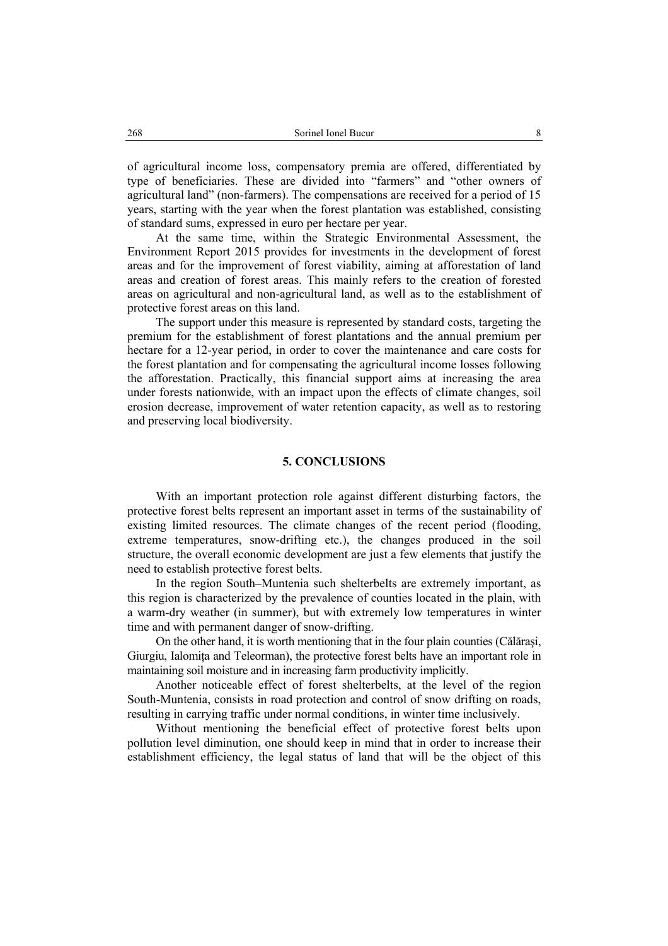of agricultural income loss, compensatory premia are offered, differentiated by type of beneficiaries. These are divided into "farmers" and "other owners of agricultural land" (non-farmers). The compensations are received for a period of 15 years, starting with the year when the forest plantation was established, consisting of standard sums, expressed in euro per hectare per year.

At the same time, within the Strategic Environmental Assessment, the Environment Report 2015 provides for investments in the development of forest areas and for the improvement of forest viability, aiming at afforestation of land areas and creation of forest areas. This mainly refers to the creation of forested areas on agricultural and non-agricultural land, as well as to the establishment of protective forest areas on this land.

The support under this measure is represented by standard costs, targeting the premium for the establishment of forest plantations and the annual premium per hectare for a 12-year period, in order to cover the maintenance and care costs for the forest plantation and for compensating the agricultural income losses following the afforestation. Practically, this financial support aims at increasing the area under forests nationwide, with an impact upon the effects of climate changes, soil erosion decrease, improvement of water retention capacity, as well as to restoring and preserving local biodiversity.

### **5. CONCLUSIONS**

With an important protection role against different disturbing factors, the protective forest belts represent an important asset in terms of the sustainability of existing limited resources. The climate changes of the recent period (flooding, extreme temperatures, snow-drifting etc.), the changes produced in the soil structure, the overall economic development are just a few elements that justify the need to establish protective forest belts.

In the region South–Muntenia such shelterbelts are extremely important, as this region is characterized by the prevalence of counties located in the plain, with a warm-dry weather (in summer), but with extremely low temperatures in winter time and with permanent danger of snow-drifting.

On the other hand, it is worth mentioning that in the four plain counties (Călăraşi, Giurgiu, Ialomiţa and Teleorman), the protective forest belts have an important role in maintaining soil moisture and in increasing farm productivity implicitly.

Another noticeable effect of forest shelterbelts, at the level of the region South-Muntenia, consists in road protection and control of snow drifting on roads, resulting in carrying traffic under normal conditions, in winter time inclusively.

Without mentioning the beneficial effect of protective forest belts upon pollution level diminution, one should keep in mind that in order to increase their establishment efficiency, the legal status of land that will be the object of this